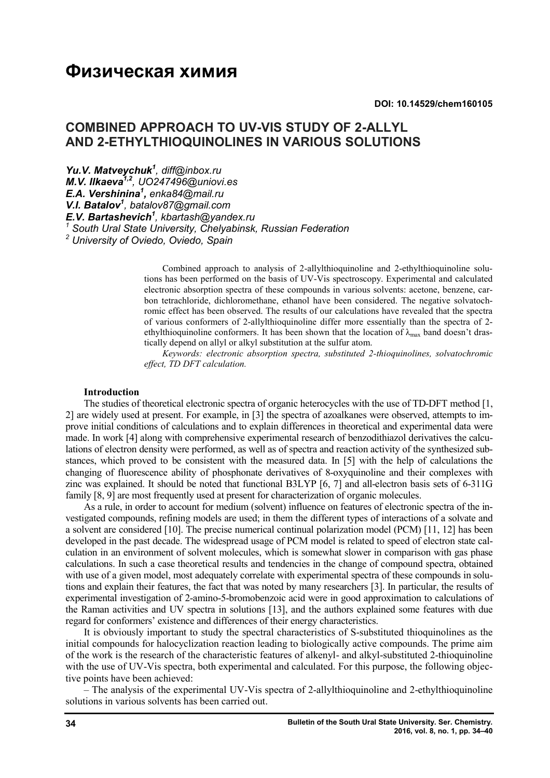# **Физическая химия**

**DOI: 10.14529/chem160105**

# **COMBINED APPROACH TO UV-VIS STUDY OF 2-ALLYL AND 2-ETHYLTHIOQUINOLINES IN VARIOUS SOLUTIONS**

*Yu.V. Matveychuk<sup>1</sup> , diff@inbox.ru M.V. Ilkaeva1,2 , UO247496@uniovi.es E.A. Vershinina<sup>1</sup> , enka84@mail.ru V.I. Batalov<sup>1</sup> , batalov87@gmail.com E.V. Bartashevich<sup>1</sup> , kbartash@yandex.ru <sup>1</sup> South Ural State University, Chelyabinsk, Russian Federation <sup>2</sup> University of Oviedo, Oviedo, Spain*

> Combined approach to analysis of 2-allylthioquinoline and 2-ethylthioquinoline solutions has been performed on the basis of UV-Vis spectroscopy. Experimental and calculated electronic absorption spectra of these compounds in various solvents: acetone, benzene, carbon tetrachloride, dichloromethane, ethanol have been considered. The negative solvatochromic effect has been observed. The results of our calculations have revealed that the spectra of various conformers of 2-allylthioquinoline differ more essentially than the spectra of 2 ethylthioquinoline conformers. It has been shown that the location of  $\lambda_{\text{max}}$  band doesn't drastically depend on allyl or alkyl substitution at the sulfur atom.

> *Keywords: electronic absorption spectra, substituted 2-thioquinolines, solvatochromic effect, TD DFT calculation.*

#### **Introduction**

The studies of theoretical electronic spectra of organic heterocycles with the use of TD-DFT method [1, 2] are widely used at present. For example, in [3] the spectra of azoalkanes were observed, attempts to improve initial conditions of calculations and to explain differences in theoretical and experimental data were made. In work [4] along with comprehensive experimental research of benzodithiazol derivatives the calculations of electron density were performed, as well as of spectra and reaction activity of the synthesized substances, which proved to be consistent with the measured data. In [5] with the help of calculations the changing of fluorescence ability of phosphonate derivatives of 8-oxyquinoline and their complexes with zinc was explained. It should be noted that functional B3LYP [6, 7] and all-electron basis sets of 6-311G family [8, 9] are most frequently used at present for characterization of organic molecules.

As a rule, in order to account for medium (solvent) influence on features of electronic spectra of the investigated compounds, refining models are used; in them the different types of interactions of a solvate and a solvent are considered [10]. The precise numerical continual polarization model (PCM) [11, 12] has been developed in the past decade. The widespread usage of PCM model is related to speed of electron state calculation in an environment of solvent molecules, which is somewhat slower in comparison with gas phase calculations. In such a case theoretical results and tendencies in the change of compound spectra, obtained with use of a given model, most adequately correlate with experimental spectra of these compounds in solutions and explain their features, the fact that was noted by many researchers [3]. In particular, the results of experimental investigation of 2-amino-5-bromobenzoic acid were in good approximation to calculations of the Raman activities and UV spectra in solutions [13], and the authors explained some features with due regard for conformers' existence and differences of their energy characteristics.

It is obviously important to study the spectral characteristics of S-substituted thioquinolines as the initial compounds for halocyclization reaction leading to biologically active compounds. The prime aim of the work is the research of the characteristic features of alkenyl- and alkyl-substituted 2-thioquinoline with the use of UV-Vis spectra, both experimental and calculated. For this purpose, the following objective points have been achieved:

– The analysis of the experimental UV-Vis spectra of 2-allylthioquinoline and 2-ethylthioquinoline solutions in various solvents has been carried out.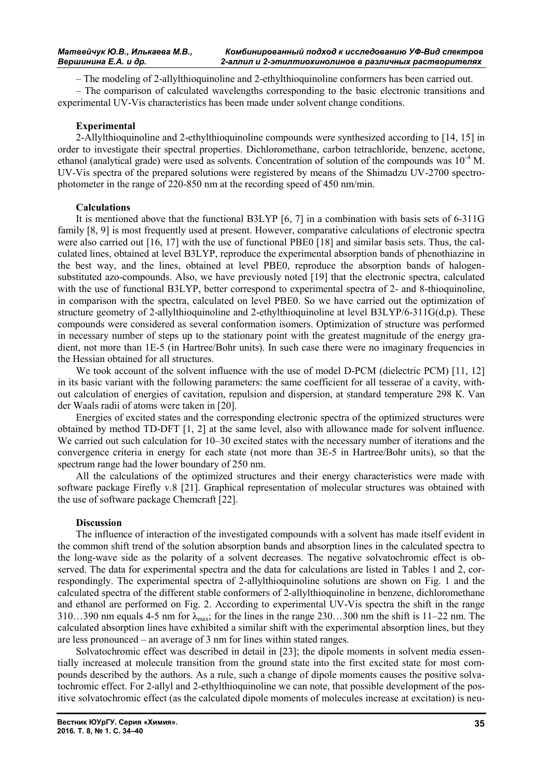– The modeling of 2-allylthioquinoline and 2-ethylthioquinoline conformers has been carried out.

– The comparison of calculated wavelengths corresponding to the basic electronic transitions and experimental UV-Vis characteristics has been made under solvent change conditions.

### **Experimental**

2-Allylthioquinoline and 2-ethylthioquinoline compounds were synthesized according to [14, 15] in order to investigate their spectral properties. Dichloromethane, carbon tetrachloride, benzene, acetone, ethanol (analytical grade) were used as solvents. Concentration of solution of the compounds was  $10^{-4}$  M. UV-Vis spectra of the prepared solutions were registered by means of the Shimadzu UV-2700 spectrophotometer in the range of 220-850 nm at the recording speed of 450 nm/min.

### **Calculations**

It is mentioned above that the functional B3LYP [6, 7] in a combination with basis sets of 6-311G family [8, 9] is most frequently used at present. However, comparative calculations of electronic spectra were also carried out [16, 17] with the use of functional PBE0 [18] and similar basis sets. Thus, the calculated lines, obtained at level B3LYP, reproduce the experimental absorption bands of phenothiazine in the best way, and the lines, obtained at level PBE0, reproduce the absorption bands of halogensubstituted azo-compounds. Also, we have previously noted [19] that the electronic spectra, calculated with the use of functional B3LYP, better correspond to experimental spectra of 2- and 8-thioquinoline, in comparison with the spectra, calculated on level PBE0. So we have carried out the optimization of structure geometry of 2-allylthioquinoline and 2-ethylthioquinoline at level B3LYP/6-311G(d,p). These compounds were considered as several conformation isomers. Optimization of structure was performed in necessary number of steps up to the stationary point with the greatest magnitude of the energy gradient, not more than 1E-5 (in Hartree/Bohr units). In such case there were no imaginary frequencies in the Hessian obtained for all structures.

We took account of the solvent influence with the use of model D-PCM (dielectric PCM) [11, 12] in its basic variant with the following parameters: the same coefficient for all tesserae of a cavity, without calculation of energies of cavitation, repulsion and dispersion, at standard temperature 298 К. Van der Waals radii of atoms were taken in [20].

Energies of excited states and the corresponding electronic spectra of the optimized structures were obtained by method TD-DFT [1, 2] at the same level, also with allowance made for solvent influence. We carried out such calculation for 10–30 excited states with the necessary number of iterations and the convergence criteria in energy for each state (not more than 3Е-5 in Hartree/Bohr units), so that the spectrum range had the lower boundary of 250 nm.

All the calculations of the optimized structures and their energy characteristics were made with software package Firefly v.8 [21]. Graphical representation of molecular structures was obtained with the use of software package Chemcraft [22].

## **Discussion**

The influence of interaction of the investigated compounds with a solvent has made itself evident in the common shift trend of the solution absorption bands and absorption lines in the calculated spectra to the long-wave side as the polarity of a solvent decreases. The negative solvatochromic effect is observed. The data for experimental spectra and the data for calculations are listed in Tables 1 and 2, correspondingly. The experimental spectra of 2-allylthioquinoline solutions are shown on Fig. 1 and the calculated spectra of the different stable conformers of 2-allylthioquinoline in benzene, dichloromethane and ethanol are performed on Fig. 2. According to experimental UV-Vis spectra the shift in the range 310…390 nm equals 4-5 nm for  $\lambda_{\text{max}}$ ; for the lines in the range 230…300 nm the shift is 11–22 nm. The calculated absorption lines have exhibited a similar shift with the experimental absorption lines, but they are less pronounced – an average of 3 nm for lines within stated ranges.

Solvatochromic effect was described in detail in [23]; the dipole moments in solvent media essentially increased at molecule transition from the ground state into the first excited state for most compounds described by the authors. As a rule, such a change of dipole moments causes the positive solvatochromic effect. For 2-allyl and 2-ethylthioquinoline we can note, that possible development of the positive solvatochromic effect (as the calculated dipole moments of molecules increase at excitation) is neu-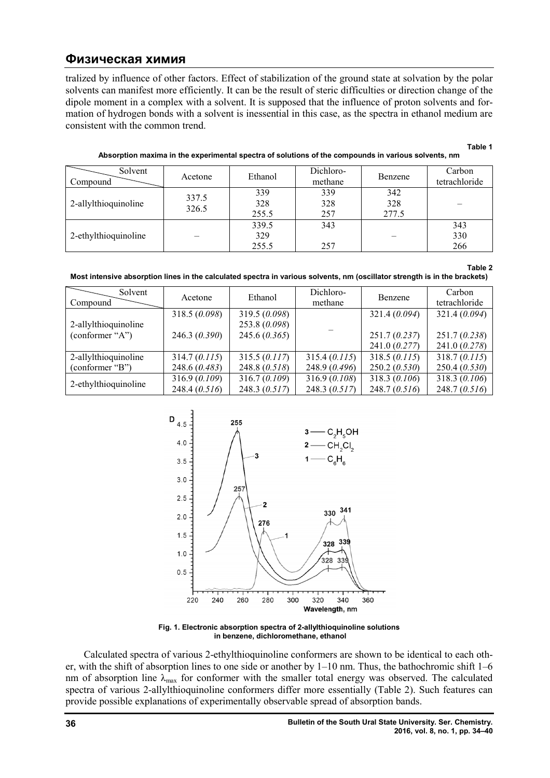# **Физическая химия**

tralized by influence of other factors. Effect of stabilization of the ground state at solvation by the polar solvents can manifest more efficiently. It can be the result of steric difficulties or direction change of the dipole moment in a complex with a solvent. It is supposed that the influence of proton solvents and fo mation of hydrogen bonds with a solvent is inessential in this case, as the spectra in ethanol medium are consistent with the common trend. can manifest more efficiently. It can be the result of steric difficulties or direction change of the oment in a complex with a solvent. It is supposed that the influence of proton solvents and for-<br>f hydrogen bonds with a d state at solvation by the polar<br>ulties or direction change of the<br>ence of proton solvents and for-

Absorption maxima in the experimental spectra of solutions of the compounds in various solvents, nm **Table 1**

| Solvent<br>Compound  | Acetone        | Ethanol               | Dichloro-<br>methane | Benzene             | Carbon<br>tetrachloride |
|----------------------|----------------|-----------------------|----------------------|---------------------|-------------------------|
| 2-allylthioquinoline | 337.5<br>326.5 | 339<br>328<br>255.5   | 339<br>328<br>257    | 342<br>328<br>277.5 |                         |
| 2-ethylthioquinoline |                | 339.5<br>329<br>255.5 | 343<br>257           |                     | 343<br>330<br>266       |

|                                                                                                                            | Table 2 |
|----------------------------------------------------------------------------------------------------------------------------|---------|
| Most intensive absorption lines in the calculated spectra in various solvents, nm (oscillator strength is in the brackets) |         |

| Solvent<br>Compound                     | Acetone      | Ethanol       | Dichloro-<br>methane | Benzene       | Carbon<br>tetrachloride |  |
|-----------------------------------------|--------------|---------------|----------------------|---------------|-------------------------|--|
|                                         | 318.5(0.098) | 319.5 (0.098) |                      | 321.4(0.094)  | 321.4 (0.094)           |  |
| 2-allylthioquinoline<br>(conformer "A") |              | 253.8 (0.098) |                      |               |                         |  |
|                                         | 246.3(0.390) | 245.6(0.365)  |                      | 251.7(0.237)  | 251.7(0.238)            |  |
|                                         |              |               |                      | 241.0(0.277)  | 241.0(0.278)            |  |
| 2-allylthioquinoline                    | 314.7(0.115) | 315.5(0.117)  | 315.4 (0.115)        | 318.5 (0.115) | 318.7(0.115)            |  |
| (conformer "B")                         | 248.6(0.483) | 248.8(0.518)  | 248.9(0.496)         | 250.2(0.530)  | 250.4(0.530)            |  |
| 2-ethylthioquinoline                    | 316.9(0.109) | 316.7(0.109)  | 316.9(0.108)         | 318.3(0.106)  | 318.3(0.106)            |  |
|                                         | 248.4(0.516) | 248.3(0.517)  | 248.3(0.517)         | 248.7(0.516)  | 248.7(0.516)            |  |



**Fig. 1. Electronic absorption spectra of 2 spectra 2-allylthioquinoline solutions allylthioquinoline in benzene, dichloromethane, ethanol**

Calculated spectra of various 2 2-ethylthioquinoline conformers are shown to be identical to each other, with the shift of absorption lines to one side or another by  $1-10$  nm. Thus, the bathochromic shift  $1-6$ nm of absorption line  $\lambda_{\text{max}}$  for conformer with the smaller total energy was observed. The calculated spectra of various 2-allylthioquinoline conformers differ more essentially (Table 2). Such features can provide possible explanations of experimentally observable spread of absorption bands.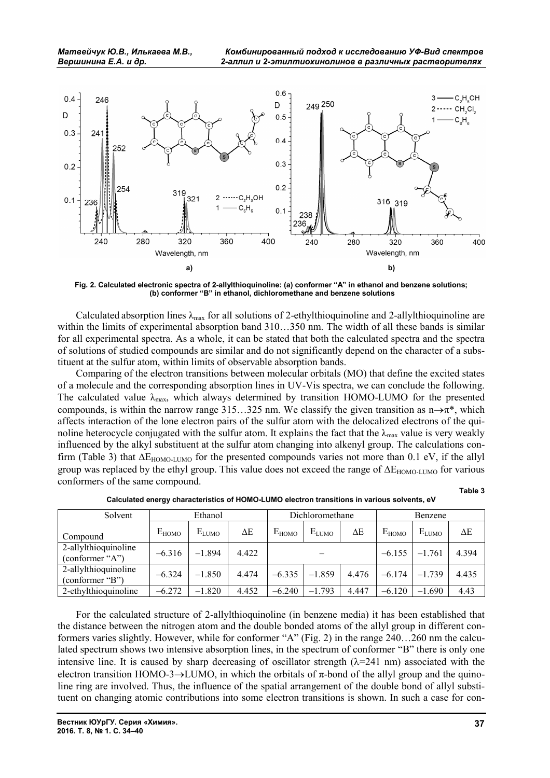

**Fig. 2. Calculated electronic spectra of 2-allylthioquinoline: (a) conformer "A" in ethanol and benzene solutions; (b) conformer "B" in ethanol, dichloromethane and benzene solutions**

Calculated absorption lines  $\lambda_{\text{max}}$  for all solutions of 2-ethylthioquinoline and 2-allylthioquinoline are within the limits of experimental absorption band  $310...350$  nm. The width of all these bands is similar for all experimental spectra. As a whole, it can be stated that both the calculated spectra and the spectra of solutions of studied compounds are similar and do not significantly depend on the character of a substituent at the sulfur atom, within limits of observable absorption bands.

Comparing of the electron transitions between molecular orbitals (МО) that define the excited states of a molecule and the corresponding absorption lines in UV-Vis spectra, we can conclude the following. The calculated value  $\lambda_{\text{max}}$ , which always determined by transition HOMO-LUMO for the presented compounds, is within the narrow range 315…325 nm. We classify the given transition as  $n\rightarrow \pi^*$ , which affects interaction of the lone electron pairs of the sulfur atom with the delocalized electrons of the quinoline heterocycle conjugated with the sulfur atom. It explains the fact that the  $\lambda_{\text{max}}$  value is very weakly influenced by the alkyl substituent at the sulfur atom changing into alkenyl group. The calculations confirm (Table 3) that  $\Delta E_{HOMO-LUMO}$  for the presented compounds varies not more than 0.1 eV, if the allyl group was replaced by the ethyl group. This value does not exceed the range of  $\Delta E_{HOMO-LUMO}$  for various conformers of the same compound.

**Table 3**

| Solvent                                 | Ethanol    |            |       | Dichloromethane |            |       | Benzene    |            |       |
|-----------------------------------------|------------|------------|-------|-----------------|------------|-------|------------|------------|-------|
| Compound                                | $E_{HOMO}$ | $E_{LUMO}$ | ΔE    | $E_{HOMO}$      | $E_{LUMO}$ | ΔЕ    | $E_{HOMO}$ | $E_{LUMO}$ | ΔE    |
| 2-allylthioquinoline<br>(conformer "A") | $-6.316$   | $-1.894$   | 4.422 |                 |            |       | $-6.155$   | $-1.761$   | 4.394 |
| 2-allylthioquinoline<br>(conformer "B") | $-6.324$   | $-1.850$   | 4.474 | $-6.335$        | $-1.859$   | 4.476 | $-6.174$   | $-1.739$   | 4.435 |
| 2-ethylthioquinoline                    | $-6.272$   | $-1.820$   | 4.452 | $-6.240$        | $-1.793$   | 4.447 | $-6.120$   | $-1.690$   | 4.43  |

**Calculated energy characteristics of HOMO-LUMO electron transitions in various solvents, eV**

For the calculated structure of 2-allylthioquinoline (in benzene media) it has been established that the distance between the nitrogen atom and the double bonded atoms of the allyl group in different conformers varies slightly. However, while for conformer "А" (Fig. 2) in the range 240…260 nm the calculated spectrum shows two intensive absorption lines, in the spectrum of conformer "B" there is only one intensive line. It is caused by sharp decreasing of oscillator strength  $(\lambda=241 \text{ nm})$  associated with the electron transition HOMO-3 $\rightarrow$ LUMO, in which the orbitals of  $\pi$ -bond of the allyl group and the quinoline ring are involved. Thus, the influence of the spatial arrangement of the double bond of allyl substituent on changing atomic contributions into some electron transitions is shown. In such a case for con-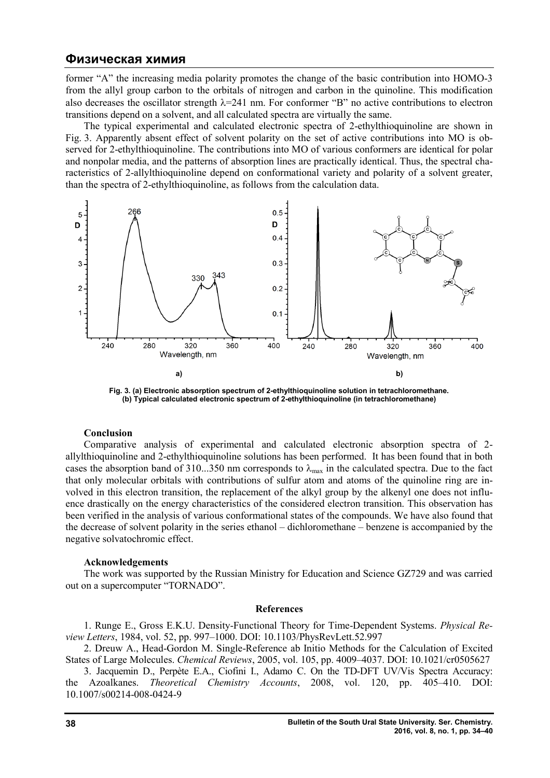## **Физическая химия**

former "A" the increasing media polarity promotes the change of the basic contribution into HOMO-3 former "A" the increasing media polarity promotes the change of the basic contribution into HOMO-3 from the allyl group carbon to the orbitals of nitrogen and carbon in the quinoline. This modification also decreases the oscillator strength  $\lambda = 241$  nm. For conformer "B" no active contributions to electron transitions depend on a solvent, and all calculated spectra are virtually the same. d carbon in the quinoline. This modification<br>prmer "B" no active contributions to electron<br>re virtually the same.<br>pectra of 2-ethylthioquinoline are shown in<br>e set of active contributions into MO is ob-

sitions depend on a solvent, and all calculated spectra are virtually the same.<br>The typical experimental and calculated electronic spectra of 2-ethylthioquinoline are shown in Fig. 3. Apparently absent effect of solvent polarity on the set of active contributions into MO is ob-Fig. 3. Apparently absent effect of solvent polarity on the set of active contributions into MO is observed for 2-ethylthioquinoline. The contributions into MO of various conformers are identical for polar and nonpolar media, and the patterns of absorption lines are practically identical. Thus, the spectral chaand nonpolar media, and the patterns of absorption lines are practically identical. Thus, the spectral characteristics of 2-allylthioquinoline depend on conformational variety and polarity of a solvent greater, than the spectra of 2-ethylthioquinoline, as follows from the calculation data.



**Fig. 3. (a) Electronic absorption spectrum of 2 3. (a) Electronic absorption 2-ethylthioquinoline solution in tetrachloromethane. ethylthioquinoline (b) Typical calculated electronic spectrum of 2 Typical calculated 2-ethylthioquinoline (in tetrachloromethane)**

#### **Conclusion**

Comparative analysis of experimental and calculated electronic absorption spectra of 2 2 allylthioquinoline and 2-ethylthioquinoline solutions has been performed. It has been found that in both cases the absorption band of 310...350 nm corresponds to  $\lambda_{\text{max}}$  in the calculated spectra. Due to the fact that only molecular orbitals with contributions of sulfur atom and atoms of the quinoline ring are in-<br>volved in this electron transition, the replacement of the alkyl group by the alkenyl one does not influvolved in this electron transition, the replacement of the alkyl group by the alkenyl one does not influence drastically on the energy characteristics of the considered electron transition. This observation has been verified in the analysis of various conformational states of the compounds. We have also found that ence drastically on the energy characteristics of the considered electron transition. This observation has<br>been verified in the analysis of various conformational states of the compounds. We have also found that<br>the decrea negative solvatochromic effect. sis of experimental and calculated electronic absorption spectra of 2-ethylthioquinoline solutions has been performed. It has been found that in both d of 310...350 nm corresponds to  $\lambda_{\text{max}}$  in the calculated spectra.

#### **Acknowledgements**

The work was supported by the Russian Ministry for Education and Science GZ729 and was carried on a supercomputer "TORNADO". out on a supercomputer "TORNADO".

#### **References**

1. Runge E., Gross E.K.U. Density-Functional Theory for Time-Dependent Systems. *Physical Re*view Letters, 1984, vol. 52, pp. 997–1000. DOI: 10.1103/PhysRevLett.52.997

2. Dreuw A., Head-Gordon M. Single-Reference ab Initio Methods for the Calculation of Excited States of Large Molecules. *Chemical Reviews* , 2005, vol. 105, pp. 4009–4037. DOI: 10.1021/cr0505627

3. Jacquemin D., Perpète E.A., Ciofini I., Adamo C. On the TD-DFT UV/Vis Spectra Accuracy: the Azoalkanes. *Theoretical Chemistry Theoretical Chemistry Accounts*, 2008, vol. 120, pp. 405 405–410. DOI: 10.1007/s00214-008-0424-9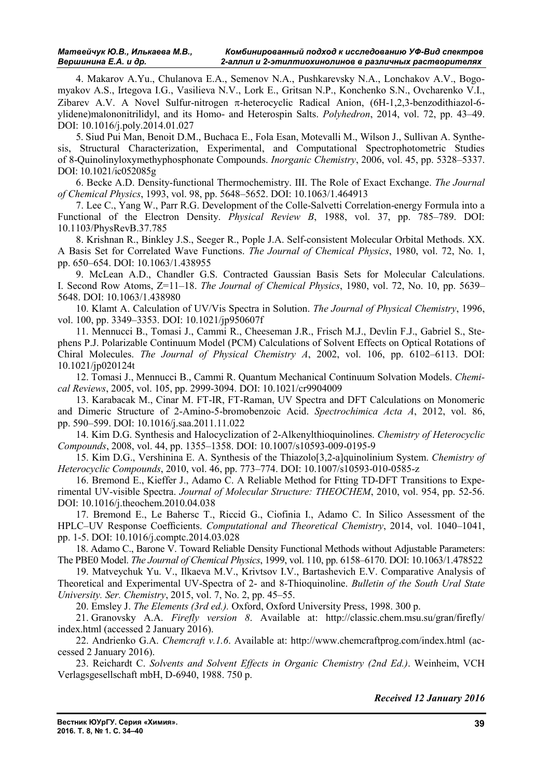4. Makarov A.Yu., Chulanova E.A., Semenov N.A., Pushkarevsky N.A., Lonchakov A.V., Bogomyakov A.S., Irtegova I.G., Vasilieva N.V., Lork E., Gritsan N.P., Konchenko S.N., Ovcharenko V.I., Zibarev A.V. A Novel Sulfur-nitrogen  $\pi$ -heterocyclic Radical Anion, (6H-1,2,3-benzodithiazol-6ylidene)malononitrilidyl, and its Homo- and Heterospin Salts. *Polyhedron*, 2014, vol. 72, pp. 43–49. DOI: 10.1016/j.poly.2014.01.027

5. Siud Pui Man, Benoit D.M., Buchaca E., Fola Esan, Motevalli M., Wilson J., Sullivan A. Synthesis, Structural Characterization, Experimental, and Computational Spectrophotometric Studies of 8-Quinolinyloxymethyphosphonate Compounds. *Inorganic Chemistry*, 2006, vol. 45, pp. 5328–5337. DOI: 10.1021/ic052085g

6. Becke A.D. Density-functional Thermochemistry. III. The Role of Exact Exchange. *The Journal of Chemical Physics*, 1993, vol. 98, pp. 5648–5652. DOI: 10.1063/1.464913

7. Lee C., Yang W., Parr R.G. Development of the Colle-Salvetti Correlation-energy Formula into a Functional of the Electron Density. *Physical Review B*, 1988, vol. 37, pp. 785–789. DOI: 10.1103/PhysRevB.37.785

8. Krishnan R., Binkley J.S., Seeger R., Pople J.A. Self-consistent Molecular Orbital Methods. XX. A Basis Set for Correlated Wave Functions. *The Journal of Chemical Physics*, 1980, vol. 72, No. 1, pp. 650–654. DOI: 10.1063/1.438955

9. McLean A.D., Chandler G.S. Contracted Gaussian Basis Sets for Molecular Calculations. I. Second Row Atoms, Z=11–18. *The Journal of Chemical Physics*, 1980, vol. 72, No. 10, pp. 5639– 5648. DOI: 10.1063/1.438980

10. Klamt A. Calculation of UV/Vis Spectra in Solution. *The Journal of Physical Chemistry*, 1996, vol. 100, pp. 3349–3353. DOI: 10.1021/jp950607f

11. Mennucci B., Tomasi J., Cammi R., Cheeseman J.R., Frisch M.J., Devlin F.J., Gabriel S., Stephens P.J. Polarizable Continuum Model (PCM) Calculations of Solvent Effects on Optical Rotations of Chiral Molecules. *The Journal of Physical Chemistry A*, 2002, vol. 106, pp. 6102–6113. DOI: 10.1021/jp020124t

12. Tomasi J., Mennucci B., Cammi R. Quantum Mechanical Continuum Solvation Models. *Chemical Reviews*, 2005, vol. 105, pp. 2999-3094. DOI: 10.1021/cr9904009

13. Karabacak M., Cinar M. FT-IR, FT-Raman, UV Spectra and DFT Calculations on Monomeric and Dimeric Structure of 2-Amino-5-bromobenzoic Acid. *Spectrochimica Acta A*, 2012, vol. 86, pp. 590–599. DOI: 10.1016/j.saa.2011.11.022

14. Kim D.G. Synthesis and Halocyclization of 2-Alkenylthioquinolines. *Chemistry of Heterocyclic Compounds*, 2008, vol. 44, pp. 1355–1358. DOI: 10.1007/s10593-009-0195-9

15. Kim D.G., Vershinina E. A. Synthesis of the Thiazolo[3,2-a]quinolinium System. *Chemistry of Heterocyclic Compounds*, 2010, vol. 46, pp. 773–774. DOI: 10.1007/s10593-010-0585-z

16. Bremond E., Kieffer J., Adamo C. A Reliable Method for Ftting TD-DFT Transitions to Experimental UV-visible Spectra. *Journal of Molecular Structure: THEOCHEM*, 2010, vol. 954, pp. 52-56. DOI: 10.1016/j.theochem.2010.04.038

17. Bremond E., Le Bahersc T., Riccid G., Ciofinia I., Adamo C. In Silico Assessment of the HPLC–UV Response Coefficients. *Computational and Theoretical Chemistry*, 2014, vol. 1040–1041, pp. 1-5. DOI: 10.1016/j.comptc.2014.03.028

18. Adamo C., Barone V. Toward Reliable Density Functional Methods without Adjustable Parameters: The PBE0 Model. *The Journal of Chemical Physics*, 1999, vol. 110, pp. 6158–6170. DOI: 10.1063/1.478522

19. Matveychuk Yu. V., Ilkaeva M.V., Krivtsov I.V., Bartashevich E.V. Comparative Analysis of Theoretical and Experimental UV-Spectra of 2- and 8-Thioquinoline. *Bulletin of the South Ural State University. Ser. Chemistry*, 2015, vol. 7, No. 2, pp. 45–55.

20. Emsley J. *The Elements (3rd ed.).* Oxford, Oxford University Press, 1998. 300 p.

21. Granovsky A.A. *Firefly version 8*. Available at: http://classic.chem.msu.su/gran/firefly/ index.html (accessed 2 January 2016).

22. Andrienko G.A. *Chemcraft v.1.6*. Available at: http://www.chemcraftprog.com/index.html (accessed 2 January 2016).

23. Reichardt C. *Solvents and Solvent Effects in Organic Chemistry (2nd Ed.)*. Weinheim, VCH Verlagsgesellschaft mbH, D-6940, 1988. 750 p.

*Received 12 January 2016*